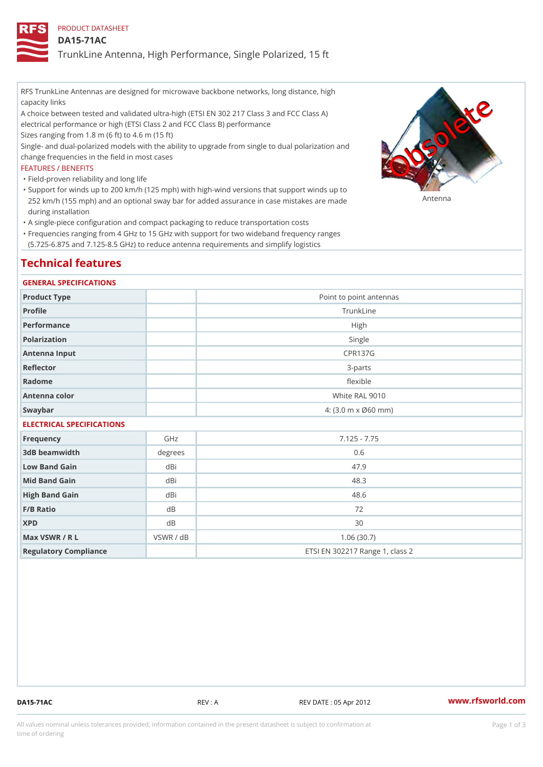PRODUCT DATASHEET

DA15-71AC

TrunkLine Antenna, High Performance, Single Polarized, 15 ft

RFS TrunkLine Antennas are designed for microwave backbone networks, long distance, high capacity links

A choice between tested and validated ultra-high (ETSI EN 302 217 Class 3 and FCC Class A) electrical performance or high (ETSI Class 2 and FCC Class B) performance

Sizes ranging from 1.8 m (6 ft) to 4.6 m (15 ft)

Single- and dual-polarized models with the ability to upgrade from single to dual polarization and change frequencies in the field in most cases

#### FEATURES / BENEFITS

"Field-proven reliability and long life

- Support for winds up to 200 km/h (125 mph) with high-wind versions that support winds up to " 252 km/h (155 mph) and an optional sway bar for added assurance in case m S # \$ R & B are made during installation
- "A single-piece configuration and compact packaging to reduce transportation costs
- Frequencies ranging from 4 GHz to 15 GHz with support for two wideband frequency ranges " (5.725-6.875 and 7.125-8.5 GHz) to reduce antenna requirements and simplify logistics

## Technical features

#### GENERAL SPECIFICATIONS

| Product Type              | Point to point antennas |  |  |
|---------------------------|-------------------------|--|--|
| Profile                   | TrunkLine               |  |  |
| Performance               | High                    |  |  |
| Polarization              | Single                  |  |  |
| Antenna Input             | CPR137G                 |  |  |
| Reflector                 | $3 - p$ arts            |  |  |
| Radome                    | flexible                |  |  |
| Antenna color             | White RAL 9010          |  |  |
| Swaybar                   | 4: (3.0 m x Ø60 mm)     |  |  |
| ELECTRICAL SPECIFICATIONS |                         |  |  |

| Frequency             | GHz       | $7.125 - 7.75$                  |
|-----------------------|-----------|---------------------------------|
| 3dB beamwidth         | degree    | 0.6                             |
| Low Band Gain         | dBi       | 47.9                            |
| Mid Band Gain         | dBi       | 48.3                            |
| High Band Gain        | dBi       | 48.6                            |
| $F/B$ Ratio           | d B       | 72                              |
| <b>XPD</b>            | d B       | 30                              |
| Max VSWR / R L        | VSWR / dB | 1.06(30.7)                      |
| Regulatory Compliance |           | ETSI EN 302217 Range 1, class 2 |

DA15-71AC REV : A REV DATE : 05 Apr 2012 [www.](https://www.rfsworld.com)rfsworld.com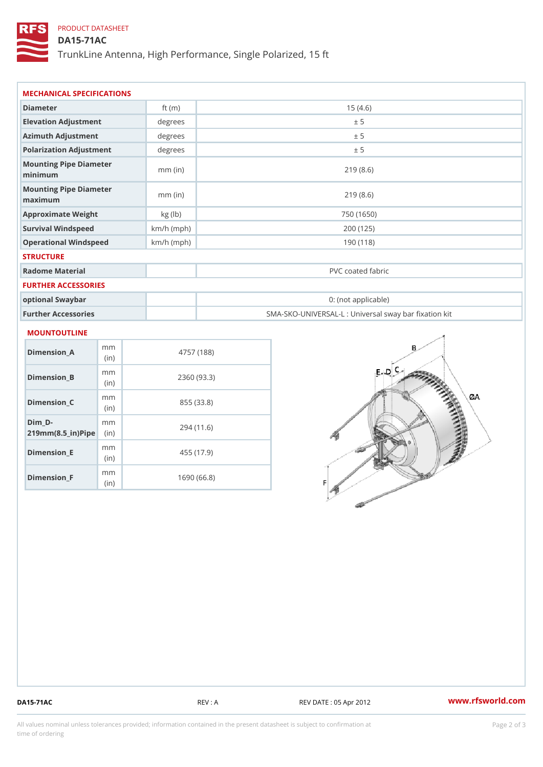### PRODUCT DATASHEET

DA15-71AC

TrunkLine Antenna, High Performance, Single Polarized, 15 ft

| Diameter                          | ft $(m)$     | 15(4.6)                                           |  |  |
|-----------------------------------|--------------|---------------------------------------------------|--|--|
| Elevation Adjustment              | degrees      | ± 5                                               |  |  |
| Azimuth Adjustment                | degrees      | ± 5                                               |  |  |
| Polarization Adjustment           | degrees      | ± 5                                               |  |  |
| Mounting Pipe Diameter<br>minimum | $mm$ (in)    | 219(8.6)                                          |  |  |
| Mounting Pipe Diameter<br>maximum | $mm$ (in)    | 219(8.6)                                          |  |  |
| Approximate Weight                | kg (lb)      | 750 (1650)                                        |  |  |
| Survival Windspeed                | $km/h$ (mph) | 200 (125)                                         |  |  |
| Operational Windspeed             | $km/h$ (mph) | 190(118)                                          |  |  |
| <b>STRUCTURE</b>                  |              |                                                   |  |  |
| Radome Material                   |              | PVC coated fabric                                 |  |  |
| FURTHER ACCESSORIES               |              |                                                   |  |  |
| optional Swaybar                  |              | 0: (not applicable)                               |  |  |
| Further Accessories               |              | SMA-SKO-UNIVERSAL-L : Universal sway bar fixation |  |  |

| Dimension A                                    | m m<br>(i n) | 4757 (188)  |
|------------------------------------------------|--------------|-------------|
| Dimension B                                    | m m<br>(i n) | 2360 (93.3) |
| Dimension C                                    | m m<br>(i n) | 855 (33.8)  |
| Dim D-<br>$219$ m m $(8.5$ in $)$ P iip $\geq$ | m m          | 294 (11.6)  |
| Dimension E                                    | m m<br>(i n) | 455 (17.9)  |
| Dimension F                                    | m m<br>(in   | 1690 (66.8) |

DA15-71AC REV : A REV : A REV DATE : 05 Apr 2012 WWW.rfsworld.com